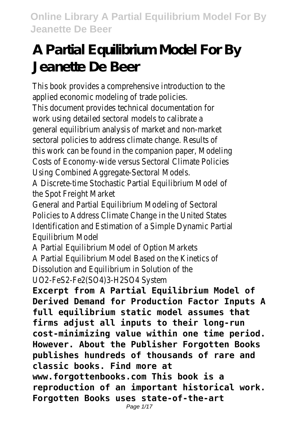# **A Partial Equilibrium Model For By Jeanette De Beer**

This book provides a comprehensive introduction to the applied economic modeling of trade policies.

This document provides technical documentation for work using detailed sectoral models to calibrate a general equilibrium analysis of market and non-market sectoral policies to address climate change. Results of this work can be found in the companion paper, Modeling Costs of Economy-wide versus Sectoral Climate Policies Using Combined Aggregate-Sectoral Models.

A Discrete-time Stochastic Partial Equilibrium Model of the Spot Freight Market

General and Partial Equilibrium Modeling of Sectoral Policies to Address Climate Change in the United States Identification and Estimation of a Simple Dynamic Partial Equilibrium Model

A Partial Equilibrium Model of Option Markets A Partial Equilibrium Model Based on the Kinetics of Dissolution and Equilibrium in Solution of the UO2-FeS2-Fe2(SO4)3-H2SO4 System

**Excerpt from A Partial Equilibrium Model of Derived Demand for Production Factor Inputs A full equilibrium static model assumes that firms adjust all inputs to their long-run cost-minimizing value within one time period. However. About the Publisher Forgotten Books publishes hundreds of thousands of rare and classic books. Find more at www.forgottenbooks.com This book is a reproduction of an important historical work. Forgotten Books uses state-of-the-art**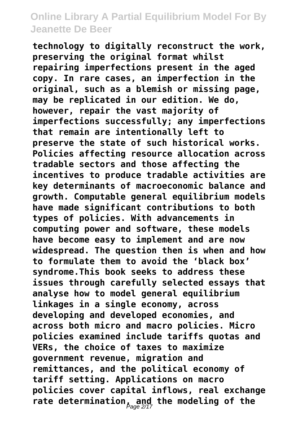**technology to digitally reconstruct the work, preserving the original format whilst repairing imperfections present in the aged copy. In rare cases, an imperfection in the original, such as a blemish or missing page, may be replicated in our edition. We do, however, repair the vast majority of imperfections successfully; any imperfections that remain are intentionally left to preserve the state of such historical works. Policies affecting resource allocation across tradable sectors and those affecting the incentives to produce tradable activities are key determinants of macroeconomic balance and growth. Computable general equilibrium models have made significant contributions to both types of policies. With advancements in computing power and software, these models have become easy to implement and are now widespread. The question then is when and how to formulate them to avoid the 'black box' syndrome.This book seeks to address these issues through carefully selected essays that analyse how to model general equilibrium linkages in a single economy, across developing and developed economies, and across both micro and macro policies. Micro policies examined include tariffs quotas and VERs, the choice of taxes to maximize government revenue, migration and remittances, and the political economy of tariff setting. Applications on macro policies cover capital inflows, real exchange rate determination, and the modeling of the** Page 2/17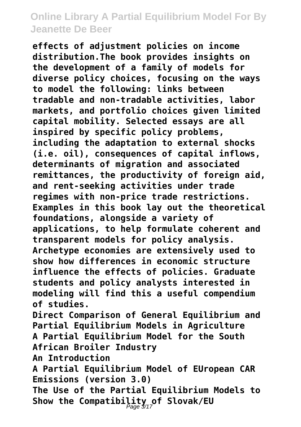**effects of adjustment policies on income distribution.The book provides insights on the development of a family of models for diverse policy choices, focusing on the ways to model the following: links between tradable and non-tradable activities, labor markets, and portfolio choices given limited capital mobility. Selected essays are all inspired by specific policy problems, including the adaptation to external shocks (i.e. oil), consequences of capital inflows, determinants of migration and associated remittances, the productivity of foreign aid, and rent-seeking activities under trade regimes with non-price trade restrictions. Examples in this book lay out the theoretical foundations, alongside a variety of applications, to help formulate coherent and transparent models for policy analysis. Archetype economies are extensively used to show how differences in economic structure influence the effects of policies. Graduate students and policy analysts interested in modeling will find this a useful compendium of studies. Direct Comparison of General Equilibrium and Partial Equilibrium Models in Agriculture**

**A Partial Equilibrium Model for the South African Broiler Industry**

**An Introduction**

**A Partial Equilibrium Model of EUropean CAR Emissions (version 3.0)**

**The Use of the Partial Equilibrium Models to Show the Compatibility of Slovak/EU** Page 3/17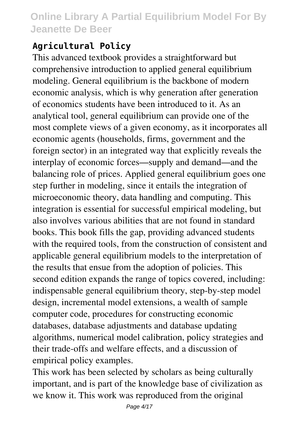### **Agricultural Policy**

This advanced textbook provides a straightforward but comprehensive introduction to applied general equilibrium modeling. General equilibrium is the backbone of modern economic analysis, which is why generation after generation of economics students have been introduced to it. As an analytical tool, general equilibrium can provide one of the most complete views of a given economy, as it incorporates all economic agents (households, firms, government and the foreign sector) in an integrated way that explicitly reveals the interplay of economic forces—supply and demand—and the balancing role of prices. Applied general equilibrium goes one step further in modeling, since it entails the integration of microeconomic theory, data handling and computing. This integration is essential for successful empirical modeling, but also involves various abilities that are not found in standard books. This book fills the gap, providing advanced students with the required tools, from the construction of consistent and applicable general equilibrium models to the interpretation of the results that ensue from the adoption of policies. This second edition expands the range of topics covered, including: indispensable general equilibrium theory, step-by-step model design, incremental model extensions, a wealth of sample computer code, procedures for constructing economic databases, database adjustments and database updating algorithms, numerical model calibration, policy strategies and their trade-offs and welfare effects, and a discussion of empirical policy examples.

This work has been selected by scholars as being culturally important, and is part of the knowledge base of civilization as we know it. This work was reproduced from the original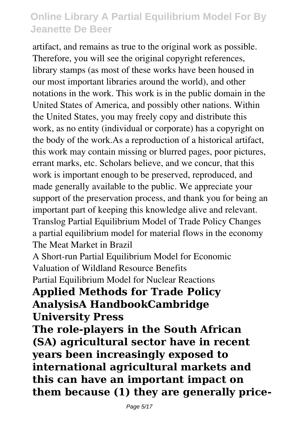artifact, and remains as true to the original work as possible. Therefore, you will see the original copyright references, library stamps (as most of these works have been housed in our most important libraries around the world), and other notations in the work. This work is in the public domain in the United States of America, and possibly other nations. Within the United States, you may freely copy and distribute this work, as no entity (individual or corporate) has a copyright on the body of the work.As a reproduction of a historical artifact, this work may contain missing or blurred pages, poor pictures, errant marks, etc. Scholars believe, and we concur, that this work is important enough to be preserved, reproduced, and made generally available to the public. We appreciate your support of the preservation process, and thank you for being an important part of keeping this knowledge alive and relevant. Translog Partial Equilibrium Model of Trade Policy Changes a partial equilibrium model for material flows in the economy The Meat Market in Brazil

A Short-run Partial Equilibrium Model for Economic Valuation of Wildland Resource Benefits

Partial Equilibrium Model for Nuclear Reactions

#### **Applied Methods for Trade Policy AnalysisA HandbookCambridge University Press**

**The role-players in the South African (SA) agricultural sector have in recent years been increasingly exposed to international agricultural markets and this can have an important impact on them because (1) they are generally price-**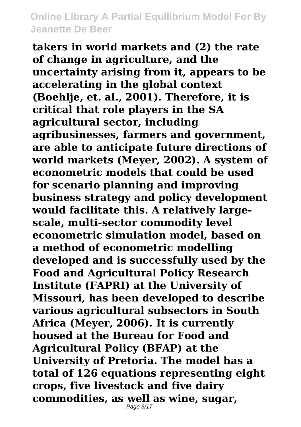**takers in world markets and (2) the rate of change in agriculture, and the uncertainty arising from it, appears to be accelerating in the global context (Boehlje, et. al., 2001). Therefore, it is critical that role players in the SA agricultural sector, including agribusinesses, farmers and government, are able to anticipate future directions of world markets (Meyer, 2002). A system of econometric models that could be used for scenario planning and improving business strategy and policy development would facilitate this. A relatively largescale, multi-sector commodity level econometric simulation model, based on a method of econometric modelling developed and is successfully used by the Food and Agricultural Policy Research Institute (FAPRI) at the University of Missouri, has been developed to describe various agricultural subsectors in South Africa (Meyer, 2006). It is currently housed at the Bureau for Food and Agricultural Policy (BFAP) at the University of Pretoria. The model has a total of 126 equations representing eight crops, five livestock and five dairy commodities, as well as wine, sugar,** Page 6/17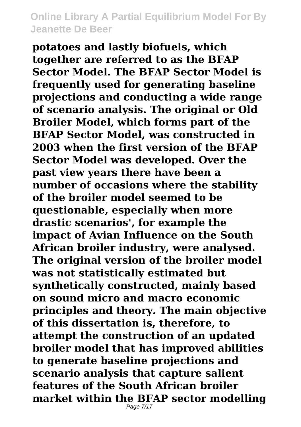**potatoes and lastly biofuels, which together are referred to as the BFAP Sector Model. The BFAP Sector Model is frequently used for generating baseline projections and conducting a wide range of scenario analysis. The original or Old Broiler Model, which forms part of the BFAP Sector Model, was constructed in 2003 when the first version of the BFAP Sector Model was developed. Over the past view years there have been a number of occasions where the stability of the broiler model seemed to be questionable, especially when more drastic scenarios', for example the impact of Avian Influence on the South African broiler industry, were analysed. The original version of the broiler model was not statistically estimated but synthetically constructed, mainly based on sound micro and macro economic principles and theory. The main objective of this dissertation is, therefore, to attempt the construction of an updated broiler model that has improved abilities to generate baseline projections and scenario analysis that capture salient features of the South African broiler market within the BFAP sector modelling** Page 7/17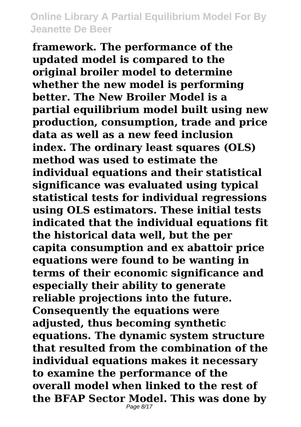**framework. The performance of the updated model is compared to the original broiler model to determine whether the new model is performing better. The New Broiler Model is a partial equilibrium model built using new production, consumption, trade and price data as well as a new feed inclusion index. The ordinary least squares (OLS) method was used to estimate the individual equations and their statistical significance was evaluated using typical statistical tests for individual regressions using OLS estimators. These initial tests indicated that the individual equations fit the historical data well, but the per capita consumption and ex abattoir price equations were found to be wanting in terms of their economic significance and especially their ability to generate reliable projections into the future. Consequently the equations were adjusted, thus becoming synthetic equations. The dynamic system structure that resulted from the combination of the individual equations makes it necessary to examine the performance of the overall model when linked to the rest of the BFAP Sector Model. This was done by** Page 8/17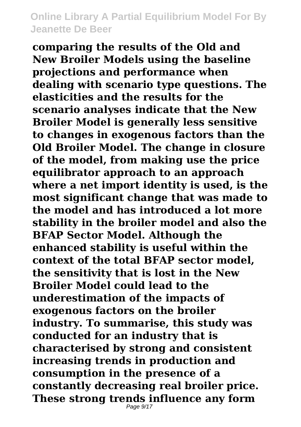**comparing the results of the Old and New Broiler Models using the baseline projections and performance when dealing with scenario type questions. The elasticities and the results for the scenario analyses indicate that the New Broiler Model is generally less sensitive to changes in exogenous factors than the Old Broiler Model. The change in closure of the model, from making use the price equilibrator approach to an approach where a net import identity is used, is the most significant change that was made to the model and has introduced a lot more stability in the broiler model and also the BFAP Sector Model. Although the enhanced stability is useful within the context of the total BFAP sector model, the sensitivity that is lost in the New Broiler Model could lead to the underestimation of the impacts of exogenous factors on the broiler industry. To summarise, this study was conducted for an industry that is characterised by strong and consistent increasing trends in production and consumption in the presence of a constantly decreasing real broiler price. These strong trends influence any form**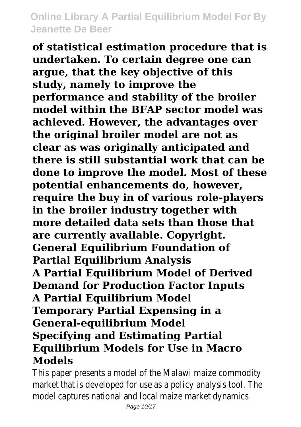**of statistical estimation procedure that is undertaken. To certain degree one can argue, that the key objective of this study, namely to improve the performance and stability of the broiler model within the BFAP sector model was achieved. However, the advantages over the original broiler model are not as clear as was originally anticipated and there is still substantial work that can be done to improve the model. Most of these potential enhancements do, however, require the buy in of various role-players in the broiler industry together with more detailed data sets than those that are currently available. Copyright. General Equilibrium Foundation of Partial Equilibrium Analysis A Partial Equilibrium Model of Derived Demand for Production Factor Inputs A Partial Equilibrium Model Temporary Partial Expensing in a General-equilibrium Model Specifying and Estimating Partial Equilibrium Models for Use in Macro Models**

This paper presents a model of the Malawi maize commodity market that is developed for use as a policy analysis tool. The model captures national and local maize market dynamics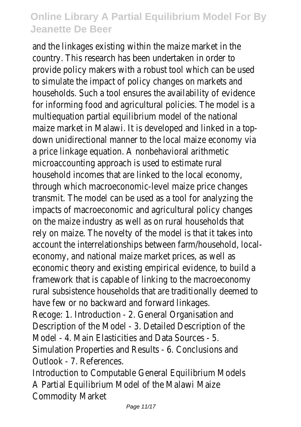and the linkages existing within the maize market in the country. This research has been undertaken in order to provide policy makers with a robust tool which can be used to simulate the impact of policy changes on markets and households. Such a tool ensures the availability of evidence for informing food and agricultural policies. The model is a multiequation partial equilibrium model of the national maize market in Malawi. It is developed and linked in a topdown unidirectional manner to the local maize economy via a price linkage equation. A nonbehavioral arithmetic microaccounting approach is used to estimate rural household incomes that are linked to the local economy, through which macroeconomic-level maize price changes transmit. The model can be used as a tool for analyzing the impacts of macroeconomic and agricultural policy changes on the maize industry as well as on rural households that rely on maize. The novelty of the model is that it takes into account the interrelationships between farm/household, localeconomy, and national maize market prices, as well as economic theory and existing empirical evidence, to build a framework that is capable of linking to the macroeconomy rural subsistence households that are traditionally deemed to have few or no backward and forward linkages. Recoge: 1. Introduction - 2. General Organisation and Description of the Model - 3. Detailed Description of the Model - 4. Main Elasticities and Data Sources - 5.

Simulation Properties and Results - 6. Conclusions and Outlook - 7. References.

Introduction to Computable General Equilibrium Models A Partial Equilibrium Model of the Malawi Maize Commodity Market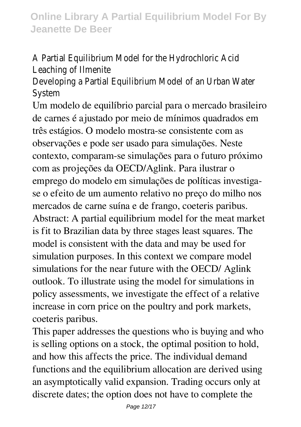A Partial Equilibrium Model for the Hydrochloric Acid Leaching of Ilmenite

Developing a Partial Equilibrium Model of an Urban Water System

Um modelo de equilíbrio parcial para o mercado brasileiro de carnes é ajustado por meio de mínimos quadrados em três estágios. O modelo mostra-se consistente com as observações e pode ser usado para simulações. Neste contexto, comparam-se simulações para o futuro próximo com as projeções da OECD/Aglink. Para ilustrar o emprego do modelo em simulações de políticas investigase o efeito de um aumento relativo no preço do milho nos mercados de carne suína e de frango, coeteris paribus. Abstract: A partial equilibrium model for the meat market is fit to Brazilian data by three stages least squares. The model is consistent with the data and may be used for simulation purposes. In this context we compare model simulations for the near future with the OECD/ Aglink outlook. To illustrate using the model for simulations in policy assessments, we investigate the effect of a relative increase in corn price on the poultry and pork markets, coeteris paribus.

This paper addresses the questions who is buying and who is selling options on a stock, the optimal position to hold, and how this affects the price. The individual demand functions and the equilibrium allocation are derived using an asymptotically valid expansion. Trading occurs only at discrete dates; the option does not have to complete the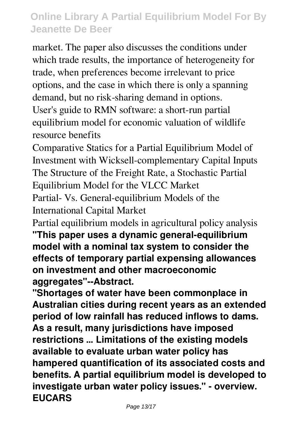market. The paper also discusses the conditions under which trade results, the importance of heterogeneity for trade, when preferences become irrelevant to price options, and the case in which there is only a spanning demand, but no risk-sharing demand in options.

User's guide to RMN software: a short-run partial equilibrium model for economic valuation of wildlife resource benefits

Comparative Statics for a Partial Equilibrium Model of Investment with Wicksell-complementary Capital Inputs The Structure of the Freight Rate, a Stochastic Partial Equilibrium Model for the VLCC Market

Partial- Vs. General-equilibrium Models of the International Capital Market

Partial equilibrium models in agricultural policy analysis **"This paper uses a dynamic general-equilibrium model with a nominal tax system to consider the effects of temporary partial expensing allowances on investment and other macroeconomic aggregates"--Abstract.**

**"Shortages of water have been commonplace in Australian cities during recent years as an extended period of low rainfall has reduced inflows to dams. As a result, many jurisdictions have imposed restrictions ... Limitations of the existing models available to evaluate urban water policy has hampered quantification of its associated costs and benefits. A partial equilibrium model is developed to investigate urban water policy issues." - overview. EUCARS**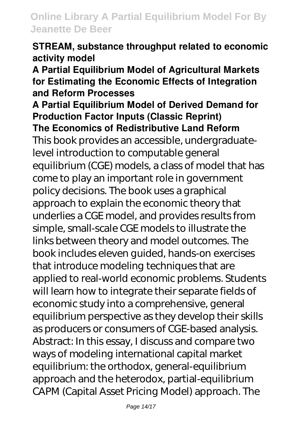#### **STREAM, substance throughput related to economic activity model**

**A Partial Equilibrium Model of Agricultural Markets for Estimating the Economic Effects of Integration and Reform Processes**

#### **A Partial Equilibrium Model of Derived Demand for Production Factor Inputs (Classic Reprint) The Economics of Redistributive Land Reform**

This book provides an accessible, undergraduatelevel introduction to computable general equilibrium (CGE) models, a class of model that has come to play an important role in government policy decisions. The book uses a graphical approach to explain the economic theory that underlies a CGE model, and provides results from simple, small-scale CGE models to illustrate the links between theory and model outcomes. The book includes eleven guided, hands-on exercises that introduce modeling techniques that are applied to real-world economic problems. Students will learn how to integrate their separate fields of economic study into a comprehensive, general equilibrium perspective as they develop their skills as producers or consumers of CGE-based analysis. Abstract: In this essay, I discuss and compare two ways of modeling international capital market equilibrium: the orthodox, general-equilibrium approach and the heterodox, partial-equilibrium CAPM (Capital Asset Pricing Model) approach. The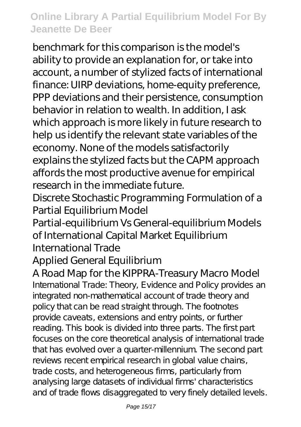benchmark for this comparison is the model's ability to provide an explanation for, or take into account, a number of stylized facts of international finance: UIRP deviations, home-equity preference, PPP deviations and their persistence, consumption behavior in relation to wealth. In addition, I ask which approach is more likely in future research to help us identify the relevant state variables of the economy. None of the models satisfactorily explains the stylized facts but the CAPM approach affords the most productive avenue for empirical research in the immediate future.

Discrete Stochastic Programming Formulation of a Partial Equilibrium Model

Partial-equilibrium Vs General-equilibrium Models of International Capital Market Equilibrium International Trade

### Applied General Equilibrium

#### A Road Map for the KIPPRA-Treasury Macro Model

International Trade: Theory, Evidence and Policy provides an integrated non-mathematical account of trade theory and policy that can be read straight through. The footnotes provide caveats, extensions and entry points, or further reading. This book is divided into three parts. The first part focuses on the core theoretical analysis of international trade that has evolved over a quarter-millennium. The second part reviews recent empirical research in global value chains, trade costs, and heterogeneous firms, particularly from analysing large datasets of individual firms' characteristics and of trade flows disaggregated to very finely detailed levels.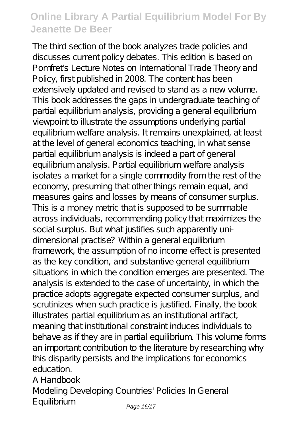The third section of the book analyzes trade policies and discusses current policy debates. This edition is based on Pomfret's Lecture Notes on International Trade Theory and Policy, first published in 2008. The content has been extensively updated and revised to stand as a new volume. This book addresses the gaps in undergraduate teaching of partial equilibrium analysis, providing a general equilibrium viewpoint to illustrate the assumptions underlying partial equilibrium welfare analysis. It remains unexplained, at least at the level of general economics teaching, in what sense partial equilibrium analysis is indeed a part of general equilibrium analysis. Partial equilibrium welfare analysis isolates a market for a single commodity from the rest of the economy, presuming that other things remain equal, and measures gains and losses by means of consumer surplus. This is a money metric that is supposed to be summable across individuals, recommending policy that maximizes the social surplus. But what justifies such apparently unidimensional practise? Within a general equilibrium framework, the assumption of no income effect is presented as the key condition, and substantive general equilibrium situations in which the condition emerges are presented. The analysis is extended to the case of uncertainty, in which the practice adopts aggregate expected consumer surplus, and scrutinizes when such practice is justified. Finally, the book illustrates partial equilibrium as an institutional artifact, meaning that institutional constraint induces individuals to behave as if they are in partial equilibrium. This volume forms an important contribution to the literature by researching why this disparity persists and the implications for economics education.

A Handbook Modeling Developing Countries' Policies In General Equilibrium *Page 16/17*